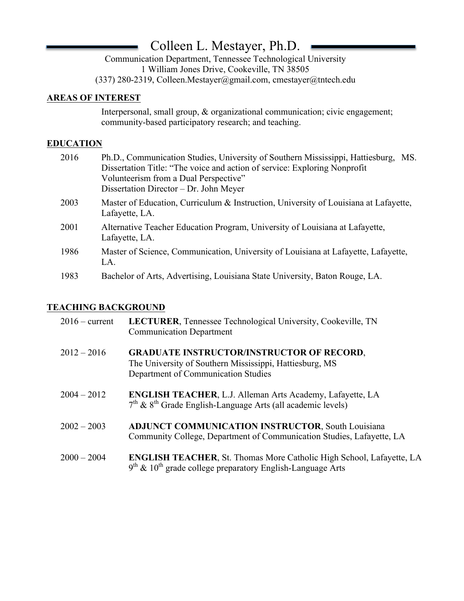# Colleen L. Mestayer, Ph.D.

Communication Department, Tennessee Technological University 1 William Jones Drive, Cookeville, TN 38505 (337) 280-2319, Colleen.Mestayer@gmail.com, cmestayer@tntech.edu

## **AREAS OF INTEREST**

Interpersonal, small group, & organizational communication; civic engagement; community-based participatory research; and teaching.

### **EDUCATION**

| 2016 | Ph.D., Communication Studies, University of Southern Mississippi, Hattiesburg,<br>MS.<br>Dissertation Title: "The voice and action of service: Exploring Nonprofit<br>Volunteerism from a Dual Perspective"<br>Dissertation Director – Dr. John Meyer |
|------|-------------------------------------------------------------------------------------------------------------------------------------------------------------------------------------------------------------------------------------------------------|
| 2003 | Master of Education, Curriculum & Instruction, University of Louisiana at Lafayette,<br>Lafayette, LA.                                                                                                                                                |
| 2001 | Alternative Teacher Education Program, University of Louisiana at Lafayette,<br>Lafayette, LA.                                                                                                                                                        |
| 1986 | Master of Science, Communication, University of Louisiana at Lafayette, Lafayette,<br>LA.                                                                                                                                                             |
| 1983 | Bachelor of Arts, Advertising, Louisiana State University, Baton Rouge, LA.                                                                                                                                                                           |

## **TEACHING BACKGROUND**

| $2016$ – current | LECTURER, Tennessee Technological University, Cookeville, TN<br><b>Communication Department</b>                                                         |
|------------------|---------------------------------------------------------------------------------------------------------------------------------------------------------|
| $2012 - 2016$    | <b>GRADUATE INSTRUCTOR/INSTRUCTOR OF RECORD,</b><br>The University of Southern Mississippi, Hattiesburg, MS<br>Department of Communication Studies      |
| $2004 - 2012$    | ENGLISH TEACHER, L.J. Alleman Arts Academy, Lafayette, LA<br>$7th$ & $8th$ Grade English-Language Arts (all academic levels)                            |
| $2002 - 2003$    | <b>ADJUNCT COMMUNICATION INSTRUCTOR, South Louisiana</b><br>Community College, Department of Communication Studies, Lafayette, LA                       |
| $2000 - 2004$    | <b>ENGLISH TEACHER, St. Thomas More Catholic High School, Lafayette, LA</b><br>$9th$ & 10 <sup>th</sup> grade college preparatory English-Language Arts |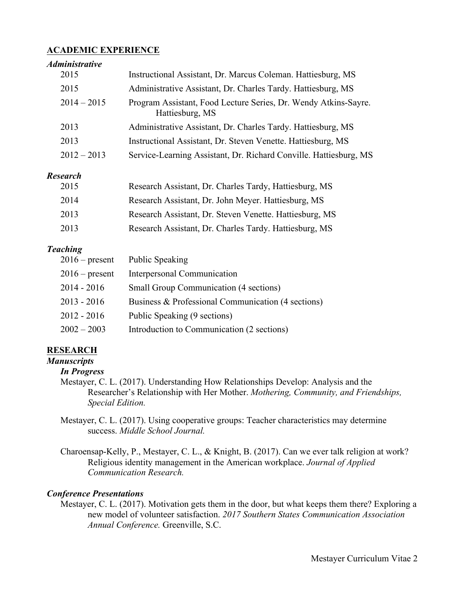#### **ACADEMIC EXPERIENCE**

#### *Administrative*

| 2015            | Instructional Assistant, Dr. Marcus Coleman. Hattiesburg, MS                       |
|-----------------|------------------------------------------------------------------------------------|
| 2015            | Administrative Assistant, Dr. Charles Tardy. Hattiesburg, MS                       |
| $2014 - 2015$   | Program Assistant, Food Lecture Series, Dr. Wendy Atkins-Sayre.<br>Hattiesburg, MS |
| 2013            | Administrative Assistant, Dr. Charles Tardy. Hattiesburg, MS                       |
| 2013            | Instructional Assistant, Dr. Steven Venette. Hattiesburg, MS                       |
| $2012 - 2013$   | Service-Learning Assistant, Dr. Richard Conville. Hattiesburg, MS                  |
| <b>Research</b> |                                                                                    |

| 2015 | Research Assistant, Dr. Charles Tardy, Hattiesburg, MS  |
|------|---------------------------------------------------------|
| 2014 | Research Assistant, Dr. John Meyer. Hattiesburg, MS     |
| 2013 | Research Assistant, Dr. Steven Venette. Hattiesburg, MS |
| 2013 | Research Assistant, Dr. Charles Tardy. Hattiesburg, MS  |

#### *Teaching*

| $2016$ – present | <b>Public Speaking</b>                             |
|------------------|----------------------------------------------------|
| $2016$ – present | Interpersonal Communication                        |
| $2014 - 2016$    | <b>Small Group Communication (4 sections)</b>      |
| $2013 - 2016$    | Business & Professional Communication (4 sections) |
| $2012 - 2016$    | Public Speaking (9 sections)                       |
| $2002 - 2003$    | Introduction to Communication (2 sections)         |

#### **RESEARCH**

*Manuscripts In Progress*

- Mestayer, C. L. (2017). Understanding How Relationships Develop: Analysis and the Researcher's Relationship with Her Mother. *Mothering, Community, and Friendships, Special Edition.*
- Mestayer, C. L. (2017). Using cooperative groups: Teacher characteristics may determine success. *Middle School Journal.*
- Charoensap-Kelly, P., Mestayer, C. L., & Knight, B. (2017). Can we ever talk religion at work? Religious identity management in the American workplace. *Journal of Applied Communication Research.*

#### *Conference Presentations*

Mestayer, C. L. (2017). Motivation gets them in the door, but what keeps them there? Exploring a new model of volunteer satisfaction. *2017 Southern States Communication Association Annual Conference.* Greenville, S.C.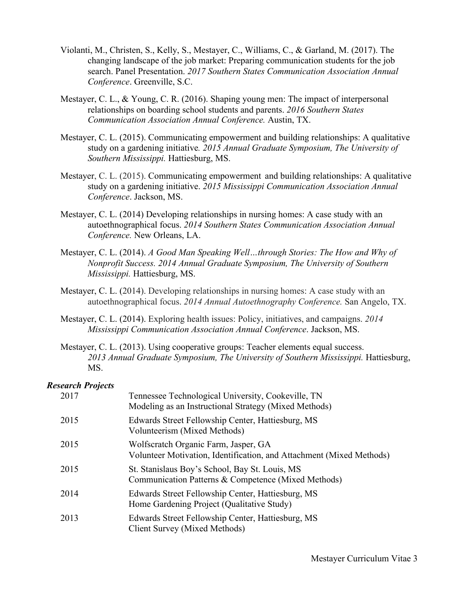- Violanti, M., Christen, S., Kelly, S., Mestayer, C., Williams, C., & Garland, M. (2017). The changing landscape of the job market: Preparing communication students for the job search. Panel Presentation. *2017 Southern States Communication Association Annual Conference*. Greenville, S.C.
- Mestayer, C. L., & Young, C. R. (2016). Shaping young men: The impact of interpersonal relationships on boarding school students and parents. *2016 Southern States Communication Association Annual Conference.* Austin, TX.
- Mestayer, C. L. (2015). Communicating empowerment and building relationships: A qualitative study on a gardening initiative*. 2015 Annual Graduate Symposium, The University of Southern Mississippi.* Hattiesburg, MS.
- Mestayer, C. L. (2015). Communicating empowerment and building relationships: A qualitative study on a gardening initiative. *2015 Mississippi Communication Association Annual Conference*. Jackson, MS.
- Mestayer, C. L. (2014) Developing relationships in nursing homes: A case study with an autoethnographical focus. *2014 Southern States Communication Association Annual Conference.* New Orleans, LA.
- Mestayer, C. L. (2014). *A Good Man Speaking Well…through Stories: The How and Why of Nonprofit Success. 2014 Annual Graduate Symposium, The University of Southern Mississippi.* Hattiesburg, MS.
- Mestayer, C. L. (2014). Developing relationships in nursing homes: A case study with an autoethnographical focus. *2014 Annual Autoethnography Conference.* San Angelo, TX.
- Mestayer, C. L. (2014). Exploring health issues: Policy, initiatives, and campaigns. *2014 Mississippi Communication Association Annual Conference*. Jackson, MS.
- Mestayer, C. L. (2013). Using cooperative groups: Teacher elements equal success. 2013 Annual Graduate Symposium, The University of Southern Mississippi. Hattiesburg, MS.

#### *Research Projects*

| 2017 | Tennessee Technological University, Cookeville, TN<br>Modeling as an Instructional Strategy (Mixed Methods)  |
|------|--------------------------------------------------------------------------------------------------------------|
| 2015 | Edwards Street Fellowship Center, Hattiesburg, MS<br>Volunteerism (Mixed Methods)                            |
| 2015 | Wolfscratch Organic Farm, Jasper, GA<br>Volunteer Motivation, Identification, and Attachment (Mixed Methods) |
| 2015 | St. Stanislaus Boy's School, Bay St. Louis, MS<br>Communication Patterns & Competence (Mixed Methods)        |
| 2014 | Edwards Street Fellowship Center, Hattiesburg, MS<br>Home Gardening Project (Qualitative Study)              |
| 2013 | Edwards Street Fellowship Center, Hattiesburg, MS<br>Client Survey (Mixed Methods)                           |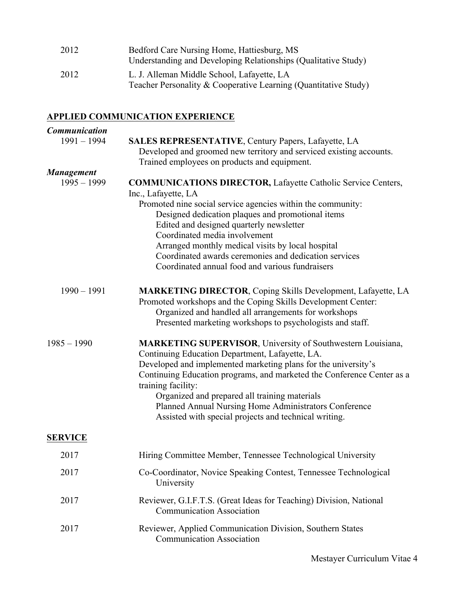| Bedford Care Nursing Home, Hattiesburg, MS                                                                    |
|---------------------------------------------------------------------------------------------------------------|
| Understanding and Developing Relationships (Qualitative Study)                                                |
| L. J. Alleman Middle School, Lafayette, LA<br>Teacher Personality & Cooperative Learning (Quantitative Study) |
|                                                                                                               |

## **APPLIED COMMUNICATION EXPERIENCE**

| <b>Communication</b> |                                                                                                                                                                                                                                                                                                                                                                                                                                                              |
|----------------------|--------------------------------------------------------------------------------------------------------------------------------------------------------------------------------------------------------------------------------------------------------------------------------------------------------------------------------------------------------------------------------------------------------------------------------------------------------------|
| $1991 - 1994$        | <b>SALES REPRESENTATIVE, Century Papers, Lafayette, LA</b><br>Developed and groomed new territory and serviced existing accounts.<br>Trained employees on products and equipment.                                                                                                                                                                                                                                                                            |
| <b>Management</b>    |                                                                                                                                                                                                                                                                                                                                                                                                                                                              |
| $1995 - 1999$        | <b>COMMUNICATIONS DIRECTOR, Lafayette Catholic Service Centers,</b><br>Inc., Lafayette, LA<br>Promoted nine social service agencies within the community:<br>Designed dedication plaques and promotional items<br>Edited and designed quarterly newsletter<br>Coordinated media involvement<br>Arranged monthly medical visits by local hospital<br>Coordinated awards ceremonies and dedication services<br>Coordinated annual food and various fundraisers |
| $1990 - 1991$        | <b>MARKETING DIRECTOR, Coping Skills Development, Lafayette, LA</b><br>Promoted workshops and the Coping Skills Development Center:<br>Organized and handled all arrangements for workshops<br>Presented marketing workshops to psychologists and staff.                                                                                                                                                                                                     |
| $1985 - 1990$        | <b>MARKETING SUPERVISOR, University of Southwestern Louisiana,</b><br>Continuing Education Department, Lafayette, LA.<br>Developed and implemented marketing plans for the university's<br>Continuing Education programs, and marketed the Conference Center as a<br>training facility:<br>Organized and prepared all training materials<br>Planned Annual Nursing Home Administrators Conference<br>Assisted with special projects and technical writing.   |
| <b>SERVICE</b>       |                                                                                                                                                                                                                                                                                                                                                                                                                                                              |
| 2017                 | Hiring Committee Member, Tennessee Technological University                                                                                                                                                                                                                                                                                                                                                                                                  |
| 2017                 | Co-Coordinator, Novice Speaking Contest, Tennessee Technological<br>University                                                                                                                                                                                                                                                                                                                                                                               |
| 2017                 | Reviewer, G.I.F.T.S. (Great Ideas for Teaching) Division, National<br><b>Communication Association</b>                                                                                                                                                                                                                                                                                                                                                       |
| 2017                 | Reviewer, Applied Communication Division, Southern States<br><b>Communication Association</b>                                                                                                                                                                                                                                                                                                                                                                |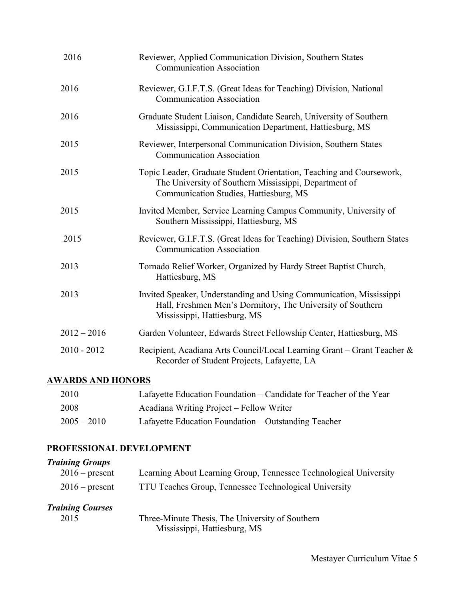| 2016          | Reviewer, Applied Communication Division, Southern States<br><b>Communication Association</b>                                                                           |
|---------------|-------------------------------------------------------------------------------------------------------------------------------------------------------------------------|
| 2016          | Reviewer, G.I.F.T.S. (Great Ideas for Teaching) Division, National<br><b>Communication Association</b>                                                                  |
| 2016          | Graduate Student Liaison, Candidate Search, University of Southern<br>Mississippi, Communication Department, Hattiesburg, MS                                            |
| 2015          | Reviewer, Interpersonal Communication Division, Southern States<br><b>Communication Association</b>                                                                     |
| 2015          | Topic Leader, Graduate Student Orientation, Teaching and Coursework,<br>The University of Southern Mississippi, Department of<br>Communication Studies, Hattiesburg, MS |
| 2015          | Invited Member, Service Learning Campus Community, University of<br>Southern Mississippi, Hattiesburg, MS                                                               |
| 2015          | Reviewer, G.I.F.T.S. (Great Ideas for Teaching) Division, Southern States<br><b>Communication Association</b>                                                           |
| 2013          | Tornado Relief Worker, Organized by Hardy Street Baptist Church,<br>Hattiesburg, MS                                                                                     |
| 2013          | Invited Speaker, Understanding and Using Communication, Mississippi<br>Hall, Freshmen Men's Dormitory, The University of Southern<br>Mississippi, Hattiesburg, MS       |
| $2012 - 2016$ | Garden Volunteer, Edwards Street Fellowship Center, Hattiesburg, MS                                                                                                     |
| $2010 - 2012$ | Recipient, Acadiana Arts Council/Local Learning Grant – Grant Teacher &<br>Recorder of Student Projects, Lafayette, LA                                                  |

## **AWARDS AND HONORS**

| 2010          | Lafayette Education Foundation – Candidate for Teacher of the Year |
|---------------|--------------------------------------------------------------------|
| 2008          | Acadiana Writing Project – Fellow Writer                           |
| $2005 - 2010$ | Lafayette Education Foundation – Outstanding Teacher               |

## **PROFESSIONAL DEVELOPMENT**

| <b>Training Groups</b>  |                                                                                 |
|-------------------------|---------------------------------------------------------------------------------|
| $2016$ – present        | Learning About Learning Group, Tennessee Technological University               |
| $2016$ – present        | TTU Teaches Group, Tennessee Technological University                           |
| <b>Training Courses</b> |                                                                                 |
| 2015                    | Three-Minute Thesis, The University of Southern<br>Mississippi, Hattiesburg, MS |